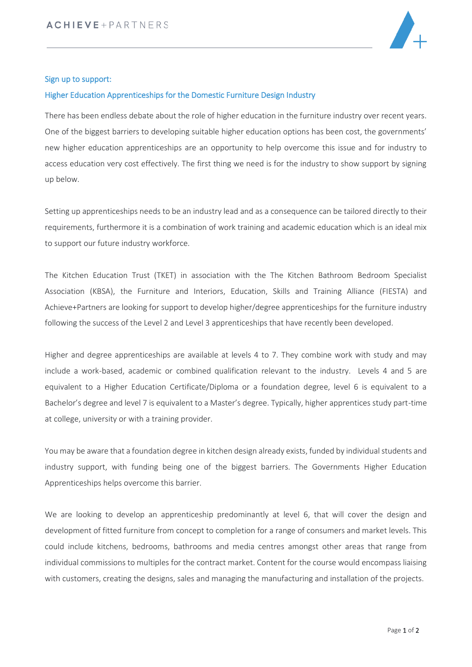

## Sign up to support:

## Higher Education Apprenticeships for the Domestic Furniture Design Industry

There has been endless debate about the role of higher education in the furniture industry over recent years. One of the biggest barriers to developing suitable higher education options has been cost, the governments' new higher education apprenticeships are an opportunity to help overcome this issue and for industry to access education very cost effectively. The first thing we need is for the industry to show support by signing up below.

Setting up apprenticeships needs to be an industry lead and as a consequence can be tailored directly to their requirements, furthermore it is a combination of work training and academic education which is an ideal mix to support our future industry workforce.

The Kitchen Education Trust (TKET) in association with the The Kitchen Bathroom Bedroom Specialist Association (KBSA), the Furniture and Interiors, Education, Skills and Training Alliance (FIESTA) and Achieve+Partners are looking for support to develop higher/degree apprenticeships for the furniture industry following the success of the Level 2 and Level 3 apprenticeships that have recently been developed.

Higher and degree apprenticeships are available at levels 4 to 7. They combine work with study and may include a work-based, academic or combined qualification relevant to the industry. Levels 4 and 5 are equivalent to a Higher Education Certificate/Diploma or a foundation degree, level 6 is equivalent to a Bachelor's degree and level 7 is equivalent to a Master's degree. Typically, higher apprentices study part-time at college, university or with a training provider.

You may be aware that a foundation degree in kitchen design already exists, funded by individual students and industry support, with funding being one of the biggest barriers. The Governments Higher Education Apprenticeships helps overcome this barrier.

We are looking to develop an apprenticeship predominantly at level 6, that will cover the design and development of fitted furniture from concept to completion for a range of consumers and market levels. This could include kitchens, bedrooms, bathrooms and media centres amongst other areas that range from individual commissions to multiples for the contract market. Content for the course would encompass liaising with customers, creating the designs, sales and managing the manufacturing and installation of the projects.